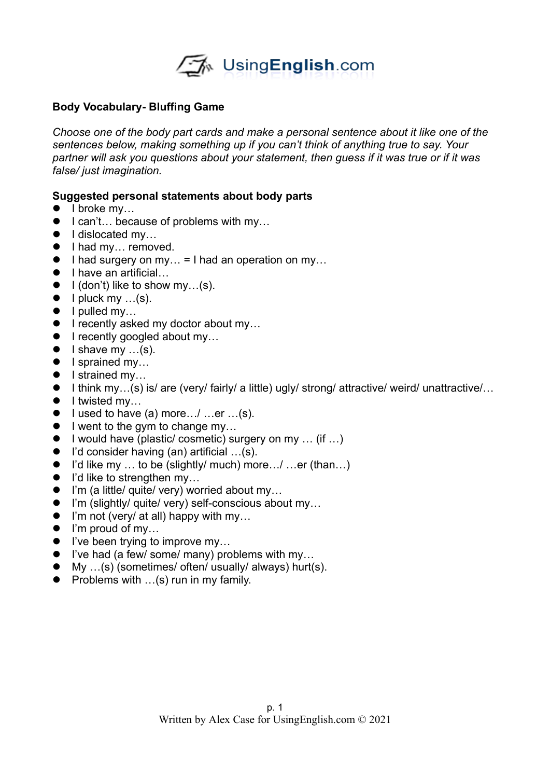

## **Body Vocabulary- Bluffing Game**

*Choose one of the body part cards and make a personal sentence about it like one of the sentences below, making something up if you can't think of anything true to say. Your partner will ask you questions about your statement, then guess if it was true or if it was false/ just imagination.* 

## **Suggested personal statements about body parts**

- $\bullet$  I broke mv...
- $\bullet$  I can't... because of problems with my...
- $\bullet$  I dislocated my...
- l had my... removed.
- $\bullet$  I had surgery on my... = I had an operation on my...
- $\bullet$  I have an artificial...
- $\bullet$  I (don't) like to show my...(s).
- $\bullet$  I pluck my ...(s).
- $\bullet$  I pulled my...
- $\bullet$  I recently asked my doctor about my...
- $\bullet$  I recently googled about my...
- $\bullet$  I shave my ...(s).
- $\bullet$  I sprained my...
- I strained my...
- I think my...(s) is/ are (very/ fairly/ a little) ugly/ strong/ attractive/ weird/ unattractive/...
- $\bullet$  I twisted mv...
- $\bullet$  lused to have (a) more.../ ...er ...(s).
- $\bullet$  I went to the gym to change my...
- $\bullet$  I would have (plastic/ cosmetic) surgery on my ... (if ...)
- $\bullet$  I'd consider having (an) artificial ...(s).
- I'd like my … to be (slightly/ much) more…/ …er (than…)
- I'd like to strengthen my...
- I'm (a little/ quite/ very) worried about my...
- I'm (slightly/ quite/ very) self-conscious about my...
- $\bullet$  I'm not (very/ at all) happy with my...
- $\bullet$  I'm proud of my...
- $\bullet$  I've been trying to improve my...
- I've had (a few/ some/ many) problems with my...
- My …(s) (sometimes/ often/ usually/ always) hurt(s).
- $\bullet$  Problems with ...(s) run in my family.